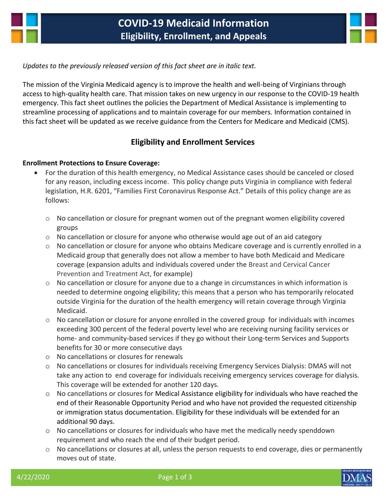



#### *Updates to the previously released version of this fact sheet are in italic text.*

The mission of the Virginia Medicaid agency is to improve the health and well-being of Virginians through access to high-quality health care. That mission takes on new urgency in our response to the COVID-19 health emergency. This fact sheet outlines the policies the Department of Medical Assistance is implementing to streamline processing of applications and to maintain coverage for our members. Information contained in this fact sheet will be updated as we receive guidance from the Centers for Medicare and Medicaid (CMS).

## **Eligibility and Enrollment Services**

#### **Enrollment Protections to Ensure Coverage:**

- For the duration of this health emergency, no Medical Assistance cases should be canceled or closed for any reason, including excess income. This policy change puts Virginia in compliance with federal legislation, H.R. 6201, "Families First Coronavirus Response Act." Details of this policy change are as follows:
	- o No cancellation or closure for pregnant women out of the pregnant women eligibility covered groups
	- $\circ$  No cancellation or closure for anyone who otherwise would age out of an aid category
	- o No cancellation or closure for anyone who obtains Medicare coverage and is currently enrolled in a Medicaid group that generally does not allow a member to have both Medicaid and Medicare coverage (expansion adults and individuals covered under the Breast and Cervical Cancer Prevention and Treatment Act, for example)
	- o No cancellation or closure for anyone due to a change in circumstances in which information is needed to determine ongoing eligibility; this means that a person who has temporarily relocated outside Virginia for the duration of the health emergency will retain coverage through Virginia Medicaid.
	- $\circ$  No cancellation or closure for anyone enrolled in the covered group for individuals with incomes exceeding 300 percent of the federal poverty level who are receiving nursing facility services or home- and community-based services if they go without their Long-term Services and Supports benefits for 30 or more consecutive days
	- o No cancellations or closures for renewals
	- o No cancellations or closures for individuals receiving Emergency Services Dialysis: DMAS will not take any action to end coverage for individuals receiving emergency services coverage for dialysis. This coverage will be extended for another 120 days.
	- $\circ$  No cancellations or closures for Medical Assistance eligibility for individuals who have reached the end of their Reasonable Opportunity Period and who have not provided the requested citizenship or immigration status documentation. Eligibility for these individuals will be extended for an additional 90 days.
	- o No cancellations or closures for individuals who have met the medically needy spenddown requirement and who reach the end of their budget period.
	- $\circ$  No cancellations or closures at all, unless the person requests to end coverage, dies or permanently moves out of state.



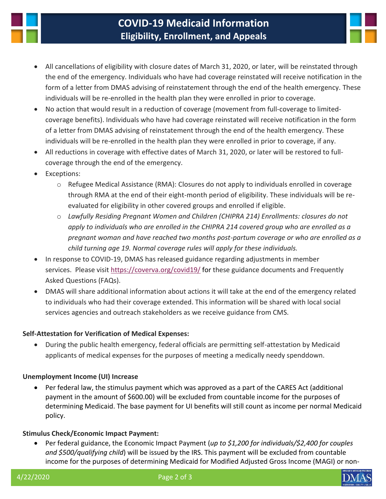

# **COVID-19 Medicaid Information Eligibility, Enrollment, and Appeals**



- All cancellations of eligibility with closure dates of March 31, 2020, or later, will be reinstated through the end of the emergency. Individuals who have had coverage reinstated will receive notification in the form of a letter from DMAS advising of reinstatement through the end of the health emergency. These individuals will be re-enrolled in the health plan they were enrolled in prior to coverage.
- No action that would result in a reduction of coverage (movement from full-coverage to limitedcoverage benefits). Individuals who have had coverage reinstated will receive notification in the form of a letter from DMAS advising of reinstatement through the end of the health emergency. These individuals will be re-enrolled in the health plan they were enrolled in prior to coverage, if any.
- All reductions in coverage with effective dates of March 31, 2020, or later will be restored to fullcoverage through the end of the emergency.
- Exceptions:
	- $\circ$  Refugee Medical Assistance (RMA): Closures do not apply to individuals enrolled in coverage through RMA at the end of their eight-month period of eligibility. These individuals will be reevaluated for eligibility in other covered groups and enrolled if eligible.
	- o *Lawfully Residing Pregnant Women and Children (CHIPRA 214) Enrollments: closures do not apply to individuals who are enrolled in the CHIPRA 214 covered group who are enrolled as a pregnant woman and have reached two months post-partum coverage or who are enrolled as a child turning age 19. Normal coverage rules will apply for these individuals.*
- In response to COVID-19, DMAS has released guidance regarding adjustments in member services. Please visi[t https://coverva.org/covid19/](https://coverva.org/covid19/) for these guidance documents and Frequently Asked Questions (FAQs).
- DMAS will share additional information about actions it will take at the end of the emergency related to individuals who had their coverage extended. This information will be shared with local social services agencies and outreach stakeholders as we receive guidance from CMS.

### **Self-Attestation for Verification of Medical Expenses:**

 During the public health emergency, federal officials are permitting self-attestation by Medicaid applicants of medical expenses for the purposes of meeting a medically needy spenddown.

### **Unemployment Income (UI) Increase**

 Per federal law, the stimulus payment which was approved as a part of the CARES Act (additional payment in the amount of \$600.00) will be excluded from countable income for the purposes of determining Medicaid. The base payment for UI benefits will still count as income per normal Medicaid policy.

### **Stimulus Check/Economic Impact Payment:**

 Per federal guidance, the Economic Impact Payment (*up to \$1,200 for individuals/\$2,400 for couples and \$500/qualifying child*) will be issued by the IRS. This payment will be excluded from countable income for the purposes of determining Medicaid for Modified Adjusted Gross Income (MAGI) or non-